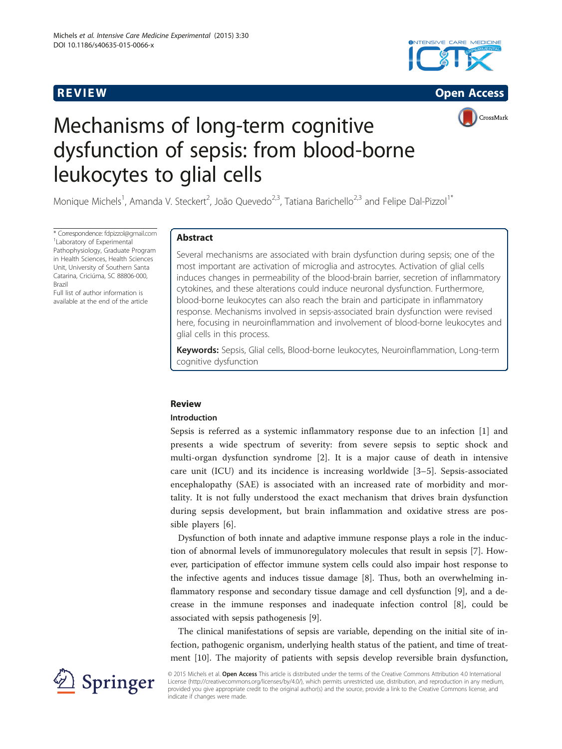





# Mechanisms of long-term cognitive dysfunction of sepsis: from blood-borne leukocytes to glial cells

Monique Michels<sup>1</sup>, Amanda V. Steckert<sup>2</sup>, João Quevedo<sup>2,3</sup>, Tatiana Barichello<sup>2,3</sup> and Felipe Dal-Pizzol<sup>1\*</sup>

\* Correspondence: [fdpizzol@gmail.com](mailto:fdpizzol@gmail.com) <sup>1</sup> Laboratory of Experimental Pathophysiology, Graduate Program in Health Sciences, Health Sciences Unit, University of Southern Santa Catarina, Criciúma, SC 88806-000, Brazil

Full list of author information is available at the end of the article

## **Abstract**

Several mechanisms are associated with brain dysfunction during sepsis; one of the most important are activation of microglia and astrocytes. Activation of glial cells induces changes in permeability of the blood-brain barrier, secretion of inflammatory cytokines, and these alterations could induce neuronal dysfunction. Furthermore, blood-borne leukocytes can also reach the brain and participate in inflammatory response. Mechanisms involved in sepsis-associated brain dysfunction were revised here, focusing in neuroinflammation and involvement of blood-borne leukocytes and glial cells in this process.

Keywords: Sepsis, Glial cells, Blood-borne leukocytes, Neuroinflammation, Long-term cognitive dysfunction

## **Introduction**

Sepsis is referred as a systemic inflammatory response due to an infection [[1\]](#page-8-0) and presents a wide spectrum of severity: from severe sepsis to septic shock and multi-organ dysfunction syndrome [\[2](#page-8-0)]. It is a major cause of death in intensive care unit (ICU) and its incidence is increasing worldwide [\[3](#page-8-0)–[5](#page-8-0)]. Sepsis-associated encephalopathy (SAE) is associated with an increased rate of morbidity and mortality. It is not fully understood the exact mechanism that drives brain dysfunction during sepsis development, but brain inflammation and oxidative stress are possible players [[6\]](#page-8-0).

Dysfunction of both innate and adaptive immune response plays a role in the induction of abnormal levels of immunoregulatory molecules that result in sepsis [[7\]](#page-8-0). However, participation of effector immune system cells could also impair host response to the infective agents and induces tissue damage [[8\]](#page-8-0). Thus, both an overwhelming inflammatory response and secondary tissue damage and cell dysfunction [\[9](#page-8-0)], and a decrease in the immune responses and inadequate infection control [[8\]](#page-8-0), could be associated with sepsis pathogenesis [[9\]](#page-8-0).

The clinical manifestations of sepsis are variable, depending on the initial site of infection, pathogenic organism, underlying health status of the patient, and time of treatment [\[10\]](#page-8-0). The majority of patients with sepsis develop reversible brain dysfunction,



© 2015 Michels et al. **Open Access** This article is distributed under the terms of the Creative Commons Attribution 4.0 International License [\(http://creativecommons.org/licenses/by/4.0/](http://creativecommons.org/licenses/by/4.0/)), which permits unrestricted use, distribution, and reproduction in any medium, provided you give appropriate credit to the original author(s) and the source, provide a link to the Creative Commons license, and indicate if changes were made.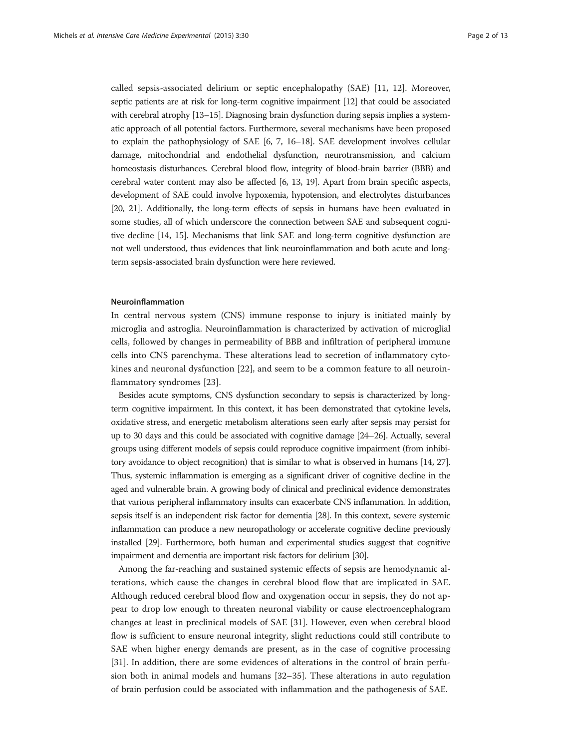called sepsis-associated delirium or septic encephalopathy (SAE) [[11, 12](#page-8-0)]. Moreover, septic patients are at risk for long-term cognitive impairment [[12](#page-8-0)] that could be associated with cerebral atrophy [[13](#page-8-0)–[15](#page-8-0)]. Diagnosing brain dysfunction during sepsis implies a systematic approach of all potential factors. Furthermore, several mechanisms have been proposed to explain the pathophysiology of SAE [\[6, 7, 16](#page-8-0)–[18\]](#page-8-0). SAE development involves cellular damage, mitochondrial and endothelial dysfunction, neurotransmission, and calcium homeostasis disturbances. Cerebral blood flow, integrity of blood-brain barrier (BBB) and cerebral water content may also be affected [\[6, 13, 19\]](#page-8-0). Apart from brain specific aspects, development of SAE could involve hypoxemia, hypotension, and electrolytes disturbances [[20](#page-8-0), [21\]](#page-8-0). Additionally, the long-term effects of sepsis in humans have been evaluated in some studies, all of which underscore the connection between SAE and subsequent cognitive decline [\[14](#page-8-0), [15\]](#page-8-0). Mechanisms that link SAE and long-term cognitive dysfunction are not well understood, thus evidences that link neuroinflammation and both acute and longterm sepsis-associated brain dysfunction were here reviewed.

#### Neuroinflammation

In central nervous system (CNS) immune response to injury is initiated mainly by microglia and astroglia. Neuroinflammation is characterized by activation of microglial cells, followed by changes in permeability of BBB and infiltration of peripheral immune cells into CNS parenchyma. These alterations lead to secretion of inflammatory cytokines and neuronal dysfunction [[22\]](#page-8-0), and seem to be a common feature to all neuroinflammatory syndromes [[23\]](#page-8-0).

Besides acute symptoms, CNS dysfunction secondary to sepsis is characterized by longterm cognitive impairment. In this context, it has been demonstrated that cytokine levels, oxidative stress, and energetic metabolism alterations seen early after sepsis may persist for up to 30 days and this could be associated with cognitive damage [\[24](#page-8-0)–[26](#page-9-0)]. Actually, several groups using different models of sepsis could reproduce cognitive impairment (from inhibitory avoidance to object recognition) that is similar to what is observed in humans [[14](#page-8-0), [27](#page-9-0)]. Thus, systemic inflammation is emerging as a significant driver of cognitive decline in the aged and vulnerable brain. A growing body of clinical and preclinical evidence demonstrates that various peripheral inflammatory insults can exacerbate CNS inflammation. In addition, sepsis itself is an independent risk factor for dementia [\[28](#page-9-0)]. In this context, severe systemic inflammation can produce a new neuropathology or accelerate cognitive decline previously installed [\[29\]](#page-9-0). Furthermore, both human and experimental studies suggest that cognitive impairment and dementia are important risk factors for delirium [\[30\]](#page-9-0).

Among the far-reaching and sustained systemic effects of sepsis are hemodynamic alterations, which cause the changes in cerebral blood flow that are implicated in SAE. Although reduced cerebral blood flow and oxygenation occur in sepsis, they do not appear to drop low enough to threaten neuronal viability or cause electroencephalogram changes at least in preclinical models of SAE [\[31\]](#page-9-0). However, even when cerebral blood flow is sufficient to ensure neuronal integrity, slight reductions could still contribute to SAE when higher energy demands are present, as in the case of cognitive processing [[31\]](#page-9-0). In addition, there are some evidences of alterations in the control of brain perfusion both in animal models and humans [\[32](#page-9-0)–[35\]](#page-9-0). These alterations in auto regulation of brain perfusion could be associated with inflammation and the pathogenesis of SAE.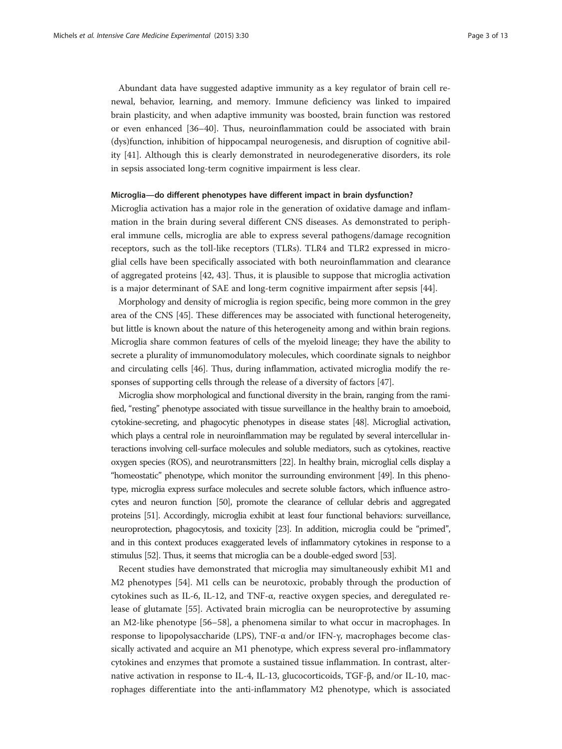Abundant data have suggested adaptive immunity as a key regulator of brain cell renewal, behavior, learning, and memory. Immune deficiency was linked to impaired brain plasticity, and when adaptive immunity was boosted, brain function was restored or even enhanced [[36](#page-9-0)–[40](#page-9-0)]. Thus, neuroinflammation could be associated with brain (dys)function, inhibition of hippocampal neurogenesis, and disruption of cognitive ability [[41\]](#page-9-0). Although this is clearly demonstrated in neurodegenerative disorders, its role in sepsis associated long-term cognitive impairment is less clear.

### Microglia—do different phenotypes have different impact in brain dysfunction?

Microglia activation has a major role in the generation of oxidative damage and inflammation in the brain during several different CNS diseases. As demonstrated to peripheral immune cells, microglia are able to express several pathogens/damage recognition receptors, such as the toll-like receptors (TLRs). TLR4 and TLR2 expressed in microglial cells have been specifically associated with both neuroinflammation and clearance of aggregated proteins [[42, 43\]](#page-9-0). Thus, it is plausible to suppose that microglia activation is a major determinant of SAE and long-term cognitive impairment after sepsis [[44](#page-9-0)].

Morphology and density of microglia is region specific, being more common in the grey area of the CNS [[45](#page-9-0)]. These differences may be associated with functional heterogeneity, but little is known about the nature of this heterogeneity among and within brain regions. Microglia share common features of cells of the myeloid lineage; they have the ability to secrete a plurality of immunomodulatory molecules, which coordinate signals to neighbor and circulating cells [\[46\]](#page-9-0). Thus, during inflammation, activated microglia modify the responses of supporting cells through the release of a diversity of factors [[47](#page-9-0)].

Microglia show morphological and functional diversity in the brain, ranging from the ramified, "resting" phenotype associated with tissue surveillance in the healthy brain to amoeboid, cytokine-secreting, and phagocytic phenotypes in disease states [\[48](#page-9-0)]. Microglial activation, which plays a central role in neuroinflammation may be regulated by several intercellular interactions involving cell-surface molecules and soluble mediators, such as cytokines, reactive oxygen species (ROS), and neurotransmitters [\[22](#page-8-0)]. In healthy brain, microglial cells display a "homeostatic" phenotype, which monitor the surrounding environment [[49\]](#page-9-0). In this phenotype, microglia express surface molecules and secrete soluble factors, which influence astrocytes and neuron function [\[50](#page-9-0)], promote the clearance of cellular debris and aggregated proteins [[51\]](#page-9-0). Accordingly, microglia exhibit at least four functional behaviors: surveillance, neuroprotection, phagocytosis, and toxicity [[23\]](#page-8-0). In addition, microglia could be "primed", and in this context produces exaggerated levels of inflammatory cytokines in response to a stimulus [\[52](#page-9-0)]. Thus, it seems that microglia can be a double-edged sword [\[53](#page-9-0)].

Recent studies have demonstrated that microglia may simultaneously exhibit M1 and M2 phenotypes [[54\]](#page-9-0). M1 cells can be neurotoxic, probably through the production of cytokines such as IL-6, IL-12, and TNF-α, reactive oxygen species, and deregulated release of glutamate [[55](#page-9-0)]. Activated brain microglia can be neuroprotective by assuming an M2-like phenotype [[56](#page-9-0)–[58](#page-9-0)], a phenomena similar to what occur in macrophages. In response to lipopolysaccharide (LPS), TNF-α and/or IFN-γ, macrophages become classically activated and acquire an M1 phenotype, which express several pro-inflammatory cytokines and enzymes that promote a sustained tissue inflammation. In contrast, alternative activation in response to IL-4, IL-13, glucocorticoids, TGF-β, and/or IL-10, macrophages differentiate into the anti-inflammatory M2 phenotype, which is associated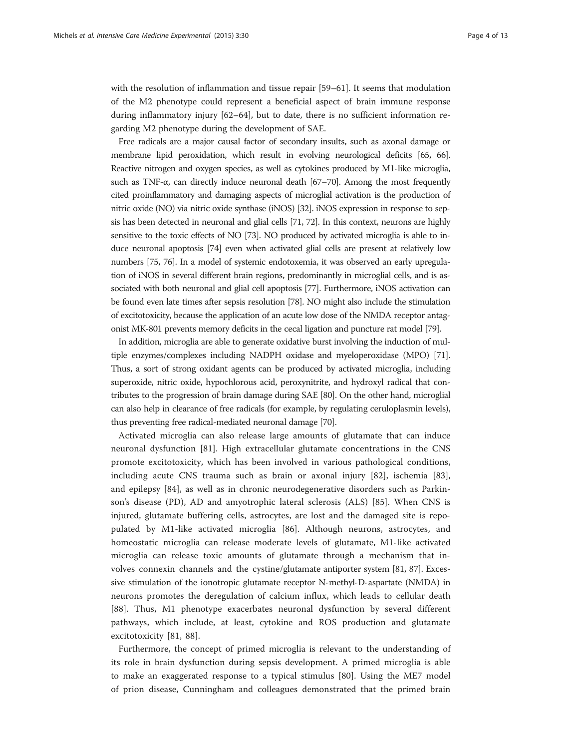with the resolution of inflammation and tissue repair [[59](#page-10-0)–[61](#page-10-0)]. It seems that modulation of the M2 phenotype could represent a beneficial aspect of brain immune response during inflammatory injury [\[62](#page-10-0)–[64\]](#page-10-0), but to date, there is no sufficient information regarding M2 phenotype during the development of SAE.

Free radicals are a major causal factor of secondary insults, such as axonal damage or membrane lipid peroxidation, which result in evolving neurological deficits [[65](#page-10-0), [66](#page-10-0)]. Reactive nitrogen and oxygen species, as well as cytokines produced by M1-like microglia, such as TNF- $\alpha$ , can directly induce neuronal death [[67](#page-10-0)–[70](#page-10-0)]. Among the most frequently cited proinflammatory and damaging aspects of microglial activation is the production of nitric oxide (NO) via nitric oxide synthase (iNOS) [\[32\]](#page-9-0). iNOS expression in response to sepsis has been detected in neuronal and glial cells [\[71, 72](#page-10-0)]. In this context, neurons are highly sensitive to the toxic effects of NO [\[73\]](#page-10-0). NO produced by activated microglia is able to induce neuronal apoptosis [[74\]](#page-10-0) even when activated glial cells are present at relatively low numbers [\[75, 76\]](#page-10-0). In a model of systemic endotoxemia, it was observed an early upregulation of iNOS in several different brain regions, predominantly in microglial cells, and is associated with both neuronal and glial cell apoptosis [\[77](#page-10-0)]. Furthermore, iNOS activation can be found even late times after sepsis resolution [\[78](#page-10-0)]. NO might also include the stimulation of excitotoxicity, because the application of an acute low dose of the NMDA receptor antagonist MK-801 prevents memory deficits in the cecal ligation and puncture rat model [\[79\]](#page-10-0).

In addition, microglia are able to generate oxidative burst involving the induction of multiple enzymes/complexes including NADPH oxidase and myeloperoxidase (MPO) [[71](#page-10-0)]. Thus, a sort of strong oxidant agents can be produced by activated microglia, including superoxide, nitric oxide, hypochlorous acid, peroxynitrite, and hydroxyl radical that contributes to the progression of brain damage during SAE [[80](#page-10-0)]. On the other hand, microglial can also help in clearance of free radicals (for example, by regulating ceruloplasmin levels), thus preventing free radical-mediated neuronal damage [\[70\]](#page-10-0).

Activated microglia can also release large amounts of glutamate that can induce neuronal dysfunction [\[81](#page-10-0)]. High extracellular glutamate concentrations in the CNS promote excitotoxicity, which has been involved in various pathological conditions, including acute CNS trauma such as brain or axonal injury [\[82](#page-10-0)], ischemia [\[83](#page-10-0)], and epilepsy [\[84](#page-10-0)], as well as in chronic neurodegenerative disorders such as Parkinson's disease (PD), AD and amyotrophic lateral sclerosis (ALS) [[85\]](#page-10-0). When CNS is injured, glutamate buffering cells, astrocytes, are lost and the damaged site is repopulated by M1-like activated microglia [\[86](#page-10-0)]. Although neurons, astrocytes, and homeostatic microglia can release moderate levels of glutamate, M1-like activated microglia can release toxic amounts of glutamate through a mechanism that involves connexin channels and the cystine/glutamate antiporter system [\[81, 87](#page-10-0)]. Excessive stimulation of the ionotropic glutamate receptor N-methyl-D-aspartate (NMDA) in neurons promotes the deregulation of calcium influx, which leads to cellular death [[88\]](#page-10-0). Thus, M1 phenotype exacerbates neuronal dysfunction by several different pathways, which include, at least, cytokine and ROS production and glutamate excitotoxicity [[81, 88\]](#page-10-0).

Furthermore, the concept of primed microglia is relevant to the understanding of its role in brain dysfunction during sepsis development. A primed microglia is able to make an exaggerated response to a typical stimulus [[80](#page-10-0)]. Using the ME7 model of prion disease, Cunningham and colleagues demonstrated that the primed brain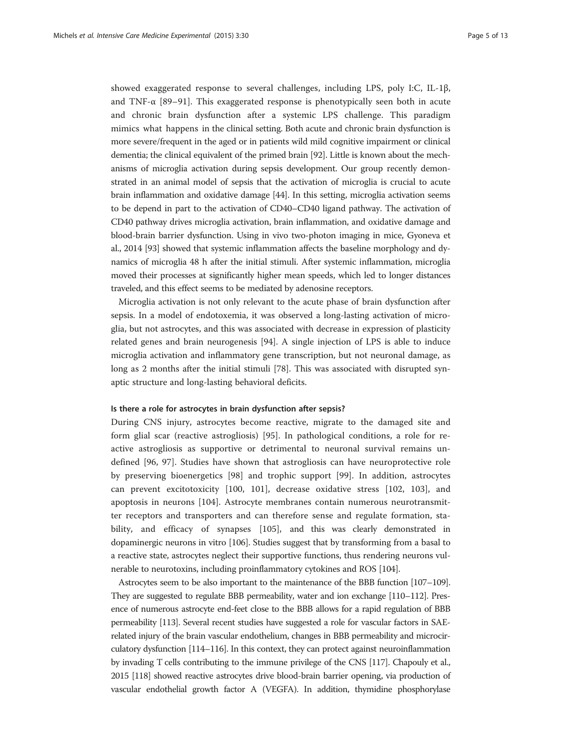showed exaggerated response to several challenges, including LPS, poly I:C, IL-1β, and TNF- $\alpha$  [[89](#page-10-0)–[91\]](#page-11-0). This exaggerated response is phenotypically seen both in acute and chronic brain dysfunction after a systemic LPS challenge. This paradigm mimics what happens in the clinical setting. Both acute and chronic brain dysfunction is more severe/frequent in the aged or in patients wild mild cognitive impairment or clinical dementia; the clinical equivalent of the primed brain [\[92\]](#page-11-0). Little is known about the mechanisms of microglia activation during sepsis development. Our group recently demonstrated in an animal model of sepsis that the activation of microglia is crucial to acute brain inflammation and oxidative damage [\[44\]](#page-9-0). In this setting, microglia activation seems to be depend in part to the activation of CD40–CD40 ligand pathway. The activation of CD40 pathway drives microglia activation, brain inflammation, and oxidative damage and blood-brain barrier dysfunction. Using in vivo two-photon imaging in mice, Gyoneva et al., 2014 [[93](#page-11-0)] showed that systemic inflammation affects the baseline morphology and dynamics of microglia 48 h after the initial stimuli. After systemic inflammation, microglia moved their processes at significantly higher mean speeds, which led to longer distances traveled, and this effect seems to be mediated by adenosine receptors.

Microglia activation is not only relevant to the acute phase of brain dysfunction after sepsis. In a model of endotoxemia, it was observed a long-lasting activation of microglia, but not astrocytes, and this was associated with decrease in expression of plasticity related genes and brain neurogenesis [[94](#page-11-0)]. A single injection of LPS is able to induce microglia activation and inflammatory gene transcription, but not neuronal damage, as long as 2 months after the initial stimuli [\[78](#page-10-0)]. This was associated with disrupted synaptic structure and long-lasting behavioral deficits.

#### Is there a role for astrocytes in brain dysfunction after sepsis?

During CNS injury, astrocytes become reactive, migrate to the damaged site and form glial scar (reactive astrogliosis) [[95\]](#page-11-0). In pathological conditions, a role for reactive astrogliosis as supportive or detrimental to neuronal survival remains undefined [[96, 97\]](#page-11-0). Studies have shown that astrogliosis can have neuroprotective role by preserving bioenergetics [[98\]](#page-11-0) and trophic support [[99\]](#page-11-0). In addition, astrocytes can prevent excitotoxicity [\[100](#page-11-0), [101\]](#page-11-0), decrease oxidative stress [[102, 103](#page-11-0)], and apoptosis in neurons [[104\]](#page-11-0). Astrocyte membranes contain numerous neurotransmitter receptors and transporters and can therefore sense and regulate formation, stability, and efficacy of synapses [\[105](#page-11-0)], and this was clearly demonstrated in dopaminergic neurons in vitro [[106](#page-11-0)]. Studies suggest that by transforming from a basal to a reactive state, astrocytes neglect their supportive functions, thus rendering neurons vulnerable to neurotoxins, including proinflammatory cytokines and ROS [[104](#page-11-0)].

Astrocytes seem to be also important to the maintenance of the BBB function [\[107](#page-11-0)–[109](#page-11-0)]. They are suggested to regulate BBB permeability, water and ion exchange [\[110](#page-11-0)–[112](#page-11-0)]. Presence of numerous astrocyte end-feet close to the BBB allows for a rapid regulation of BBB permeability [\[113](#page-11-0)]. Several recent studies have suggested a role for vascular factors in SAErelated injury of the brain vascular endothelium, changes in BBB permeability and microcirculatory dysfunction [\[114](#page-11-0)–[116](#page-11-0)]. In this context, they can protect against neuroinflammation by invading T cells contributing to the immune privilege of the CNS [\[117](#page-11-0)]. Chapouly et al., 2015 [[118\]](#page-11-0) showed reactive astrocytes drive blood-brain barrier opening, via production of vascular endothelial growth factor A (VEGFA). In addition, thymidine phosphorylase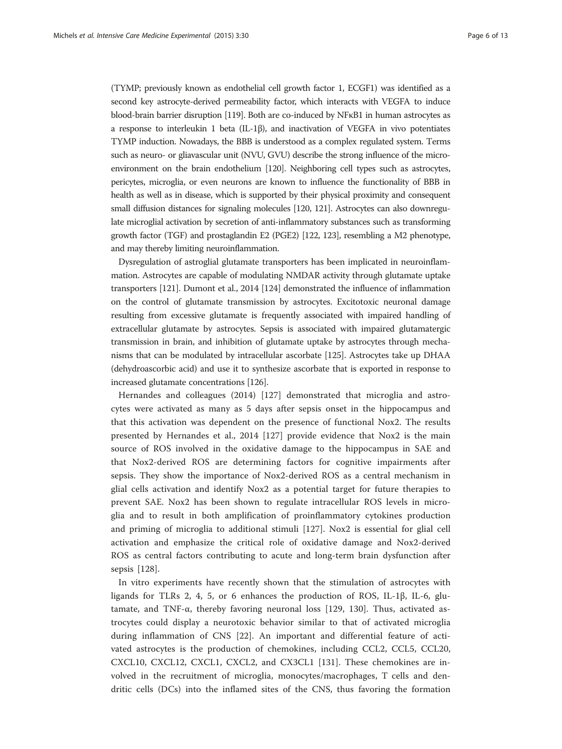(TYMP; previously known as endothelial cell growth factor 1, ECGF1) was identified as a second key astrocyte-derived permeability factor, which interacts with VEGFA to induce blood-brain barrier disruption [\[119](#page-11-0)]. Both are co-induced by NF<sub>KB1</sub> in human astrocytes as a response to interleukin 1 beta (IL-1β), and inactivation of VEGFA in vivo potentiates TYMP induction. Nowadays, the BBB is understood as a complex regulated system. Terms such as neuro- or gliavascular unit (NVU, GVU) describe the strong influence of the microenvironment on the brain endothelium [\[120](#page-11-0)]. Neighboring cell types such as astrocytes, pericytes, microglia, or even neurons are known to influence the functionality of BBB in health as well as in disease, which is supported by their physical proximity and consequent small diffusion distances for signaling molecules [\[120](#page-11-0), [121](#page-11-0)]. Astrocytes can also downregulate microglial activation by secretion of anti-inflammatory substances such as transforming growth factor (TGF) and prostaglandin E2 (PGE2) [\[122](#page-11-0), [123](#page-11-0)], resembling a M2 phenotype, and may thereby limiting neuroinflammation.

Dysregulation of astroglial glutamate transporters has been implicated in neuroinflammation. Astrocytes are capable of modulating NMDAR activity through glutamate uptake transporters [\[121](#page-11-0)]. Dumont et al., 2014 [\[124\]](#page-12-0) demonstrated the influence of inflammation on the control of glutamate transmission by astrocytes. Excitotoxic neuronal damage resulting from excessive glutamate is frequently associated with impaired handling of extracellular glutamate by astrocytes. Sepsis is associated with impaired glutamatergic transmission in brain, and inhibition of glutamate uptake by astrocytes through mechanisms that can be modulated by intracellular ascorbate [\[125\]](#page-12-0). Astrocytes take up DHAA (dehydroascorbic acid) and use it to synthesize ascorbate that is exported in response to increased glutamate concentrations [\[126](#page-12-0)].

Hernandes and colleagues (2014) [[127](#page-12-0)] demonstrated that microglia and astrocytes were activated as many as 5 days after sepsis onset in the hippocampus and that this activation was dependent on the presence of functional Nox2. The results presented by Hernandes et al., 2014 [[127\]](#page-12-0) provide evidence that Nox2 is the main source of ROS involved in the oxidative damage to the hippocampus in SAE and that Nox2-derived ROS are determining factors for cognitive impairments after sepsis. They show the importance of Nox2-derived ROS as a central mechanism in glial cells activation and identify Nox2 as a potential target for future therapies to prevent SAE. Nox2 has been shown to regulate intracellular ROS levels in microglia and to result in both amplification of proinflammatory cytokines production and priming of microglia to additional stimuli [\[127](#page-12-0)]. Nox2 is essential for glial cell activation and emphasize the critical role of oxidative damage and Nox2-derived ROS as central factors contributing to acute and long-term brain dysfunction after sepsis [[128\]](#page-12-0).

In vitro experiments have recently shown that the stimulation of astrocytes with ligands for TLRs 2, 4, 5, or 6 enhances the production of ROS, IL-1β, IL-6, glutamate, and TNF-α, thereby favoring neuronal loss [\[129](#page-12-0), [130](#page-12-0)]. Thus, activated astrocytes could display a neurotoxic behavior similar to that of activated microglia during inflammation of CNS [[22\]](#page-8-0). An important and differential feature of activated astrocytes is the production of chemokines, including CCL2, CCL5, CCL20, CXCL10, CXCL12, CXCL1, CXCL2, and CX3CL1 [[131\]](#page-12-0). These chemokines are involved in the recruitment of microglia, monocytes/macrophages, T cells and dendritic cells (DCs) into the inflamed sites of the CNS, thus favoring the formation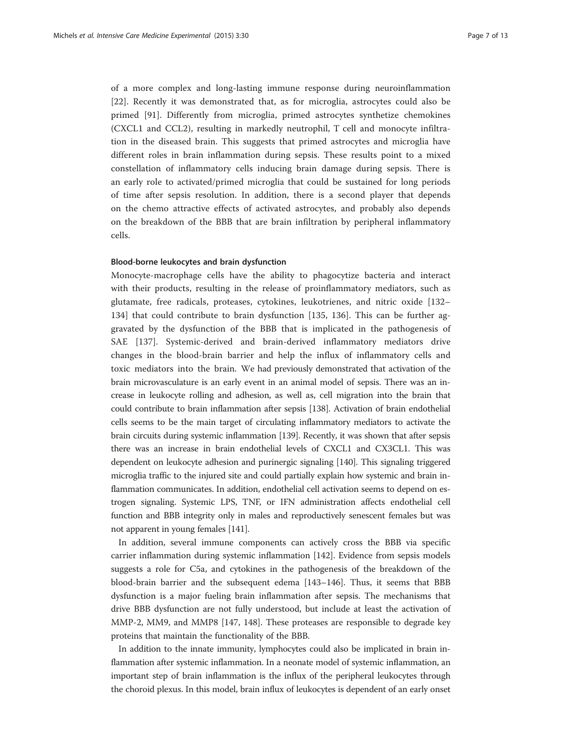of a more complex and long-lasting immune response during neuroinflammation [[22\]](#page-8-0). Recently it was demonstrated that, as for microglia, astrocytes could also be primed [[91](#page-11-0)]. Differently from microglia, primed astrocytes synthetize chemokines (CXCL1 and CCL2), resulting in markedly neutrophil, T cell and monocyte infiltration in the diseased brain. This suggests that primed astrocytes and microglia have different roles in brain inflammation during sepsis. These results point to a mixed constellation of inflammatory cells inducing brain damage during sepsis. There is an early role to activated/primed microglia that could be sustained for long periods of time after sepsis resolution. In addition, there is a second player that depends on the chemo attractive effects of activated astrocytes, and probably also depends on the breakdown of the BBB that are brain infiltration by peripheral inflammatory cells.

#### Blood-borne leukocytes and brain dysfunction

Monocyte-macrophage cells have the ability to phagocytize bacteria and interact with their products, resulting in the release of proinflammatory mediators, such as glutamate, free radicals, proteases, cytokines, leukotrienes, and nitric oxide [[132](#page-12-0)– [134\]](#page-12-0) that could contribute to brain dysfunction [[135](#page-12-0), [136\]](#page-12-0). This can be further aggravated by the dysfunction of the BBB that is implicated in the pathogenesis of SAE [[137](#page-12-0)]. Systemic-derived and brain-derived inflammatory mediators drive changes in the blood-brain barrier and help the influx of inflammatory cells and toxic mediators into the brain. We had previously demonstrated that activation of the brain microvasculature is an early event in an animal model of sepsis. There was an increase in leukocyte rolling and adhesion, as well as, cell migration into the brain that could contribute to brain inflammation after sepsis [[138](#page-12-0)]. Activation of brain endothelial cells seems to be the main target of circulating inflammatory mediators to activate the brain circuits during systemic inflammation [[139](#page-12-0)]. Recently, it was shown that after sepsis there was an increase in brain endothelial levels of CXCL1 and CX3CL1. This was dependent on leukocyte adhesion and purinergic signaling [[140](#page-12-0)]. This signaling triggered microglia traffic to the injured site and could partially explain how systemic and brain inflammation communicates. In addition, endothelial cell activation seems to depend on estrogen signaling. Systemic LPS, TNF, or IFN administration affects endothelial cell function and BBB integrity only in males and reproductively senescent females but was not apparent in young females [[141](#page-12-0)].

In addition, several immune components can actively cross the BBB via specific carrier inflammation during systemic inflammation [\[142](#page-12-0)]. Evidence from sepsis models suggests a role for C5a, and cytokines in the pathogenesis of the breakdown of the blood-brain barrier and the subsequent edema [[143](#page-12-0)–[146\]](#page-12-0). Thus, it seems that BBB dysfunction is a major fueling brain inflammation after sepsis. The mechanisms that drive BBB dysfunction are not fully understood, but include at least the activation of MMP-2, MM9, and MMP8 [[147, 148\]](#page-12-0). These proteases are responsible to degrade key proteins that maintain the functionality of the BBB.

In addition to the innate immunity, lymphocytes could also be implicated in brain inflammation after systemic inflammation. In a neonate model of systemic inflammation, an important step of brain inflammation is the influx of the peripheral leukocytes through the choroid plexus. In this model, brain influx of leukocytes is dependent of an early onset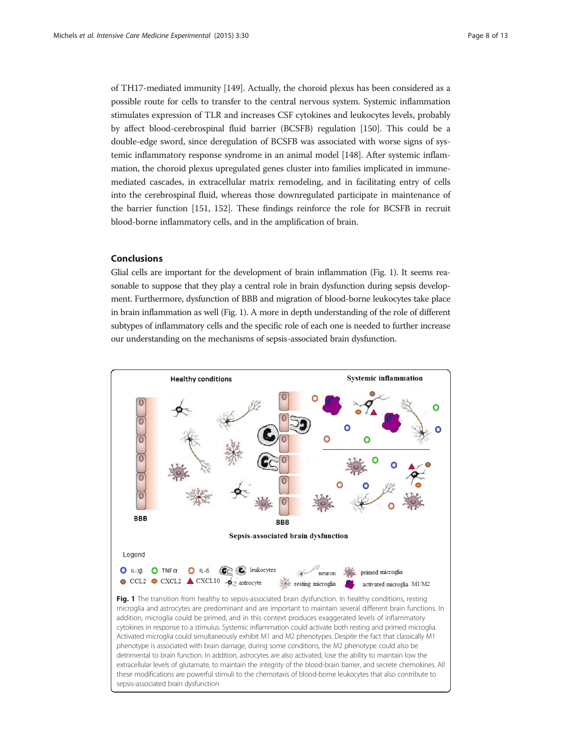of TH17-mediated immunity [\[149](#page-12-0)]. Actually, the choroid plexus has been considered as a possible route for cells to transfer to the central nervous system. Systemic inflammation stimulates expression of TLR and increases CSF cytokines and leukocytes levels, probably by affect blood-cerebrospinal fluid barrier (BCSFB) regulation [\[150](#page-12-0)]. This could be a double-edge sword, since deregulation of BCSFB was associated with worse signs of systemic inflammatory response syndrome in an animal model [\[148\]](#page-12-0). After systemic inflammation, the choroid plexus upregulated genes cluster into families implicated in immunemediated cascades, in extracellular matrix remodeling, and in facilitating entry of cells into the cerebrospinal fluid, whereas those downregulated participate in maintenance of the barrier function [\[151, 152](#page-12-0)]. These findings reinforce the role for BCSFB in recruit blood-borne inflammatory cells, and in the amplification of brain.

### **Conclusions**

Glial cells are important for the development of brain inflammation (Fig. 1). It seems reasonable to suppose that they play a central role in brain dysfunction during sepsis development. Furthermore, dysfunction of BBB and migration of blood-borne leukocytes take place in brain inflammation as well (Fig. 1). A more in depth understanding of the role of different subtypes of inflammatory cells and the specific role of each one is needed to further increase our understanding on the mechanisms of sepsis-associated brain dysfunction.

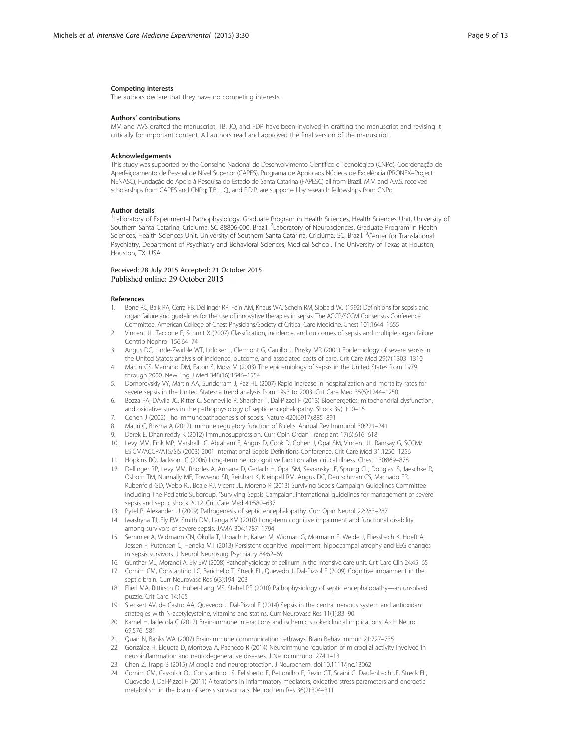#### <span id="page-8-0"></span>Competing interests

The authors declare that they have no competing interests.

#### Authors' contributions

MM and AVS drafted the manuscript, TB, JQ, and FDP have been involved in drafting the manuscript and revising it critically for important content. All authors read and approved the final version of the manuscript.

#### Acknowledgements

This study was supported by the Conselho Nacional de Desenvolvimento Científico e Tecnológico (CNPq), Coordenação de Aperfeiçoamento de Pessoal de Nível Superior (CAPES), Programa de Apoio aos Núcleos de Excelência (PRONEX–Project NENASC), Fundação de Apoio à Pesquisa do Estado de Santa Catarina (FAPESC) all from Brazil. M.M and A.V.S. received scholarships from CAPES and CNPq; T.B., J.Q., and F.D.P. are supported by research fellowships from CNPq.

#### Author details

<sup>1</sup>Laboratory of Experimental Pathophysiology, Graduate Program in Health Sciences, Health Sciences Unit, University of Southern Santa Catarina, Criciúma, SC 88806-000, Brazil. <sup>2</sup>Laboratory of Neurosciences, Graduate Program in Health Sciences, Health Sciences Unit, University of Southern Santa Catarina, Criciúma, SC, Brazil. <sup>3</sup>Center for Translational Psychiatry, Department of Psychiatry and Behavioral Sciences, Medical School, The University of Texas at Houston, Houston, TX, USA.

#### Received: 28 July 2015 Accepted: 21 October 2015 Published online: 29 October 2015

#### References

- 1. Bone RC, Balk RA, Cerra FB, Dellinger RP, Fein AM, Knaus WA, Schein RM, Sibbald WJ (1992) Definitions for sepsis and organ failure and guidelines for the use of innovative therapies in sepsis. The ACCP/SCCM Consensus Conference Committee. American College of Chest Physicians/Society of Critical Care Medicine. Chest 101:1644–1655
- 2. Vincent JL, Taccone F, Schmit X (2007) Classification, incidence, and outcomes of sepsis and multiple organ failure. Contrib Nephrol 156:64–74
- 3. Angus DC, Linde-Zwirble WT, Lidicker J, Clermont G, Carcillo J, Pinsky MR (2001) Epidemiology of severe sepsis in the United States: analysis of incidence, outcome, and associated costs of care. Crit Care Med 29(7):1303–1310
- Martin GS, Mannino DM, Eaton S, Moss M (2003) The epidemiology of sepsis in the United States from 1979 through 2000. New Eng J Med 348(16):1546–1554
- 5. Dombrovskiy VY, Martin AA, Sunderram J, Paz HL (2007) Rapid increase in hospitalization and mortality rates for severe sepsis in the United States: a trend analysis from 1993 to 2003. Crit Care Med 35(5):1244–1250
- 6. Bozza FA, DÁvila JC, Ritter C, Sonneville R, Sharshar T, Dal-Pizzol F (2013) Bioenergetics, mitochondrial dysfunction, and oxidative stress in the pathophysiology of septic encephalopathy. Shock 39(1):10–16
- 7. Cohen J (2002) The immunopathogenesis of sepsis. Nature 420(6917):885–891
- 8. Mauri C, Bosma A (2012) Immune regulatory function of B cells. Annual Rev Immunol 30:221–241
- 9. Derek E, Dhanireddy K (2012) Immunosuppression. Curr Opin Organ Transplant 17(6):616–618
- 10. Levy MM, Fink MP, Marshall JC, Abraham E, Angus D, Cook D, Cohen J, Opal SM, Vincent JL, Ramsay G, SCCM/ ESICM/ACCP/ATS/SIS (2003) 2001 International Sepsis Definitions Conference. Crit Care Med 31:1250–1256
- 11. Hopkins RO, Jackson JC (2006) Long-term neurocognitive function after critical illness. Chest 130:869–878
- 12. Dellinger RP, Levy MM, Rhodes A, Annane D, Gerlach H, Opal SM, Sevransky JE, Sprung CL, Douglas IS, Jaeschke R, Osborn TM, Nunnally ME, Towsend SR, Reinhart K, Kleinpell RM, Angus DC, Deutschman CS, Machado FR, Rubenfeld GD, Webb RJ, Beale RJ, Vicent JL, Moreno R (2013) Surviving Sepsis Campaign Guidelines Committee including The Pediatric Subgroup. "Surviving Sepsis Campaign: international guidelines for management of severe sepsis and septic shock 2012. Crit Care Med 41:580–637
- 13. Pytel P, Alexander JJ (2009) Pathogenesis of septic encephalopathy. Curr Opin Neurol 22:283–287
- 14. Iwashyna TJ, Ely EW, Smith DM, Langa KM (2010) Long-term cognitive impairment and functional disability among survivors of severe sepsis. JAMA 304:1787–1794
- 15. Semmler A, Widmann CN, Okulla T, Urbach H, Kaiser M, Widman G, Mormann F, Weide J, Fliessbach K, Hoeft A, Jessen F, Putensen C, Heneka MT (2013) Persistent cognitive impairment, hippocampal atrophy and EEG changes in sepsis survivors. J Neurol Neurosurg Psychiatry 84:62–69
- 16. Gunther ML, Morandi A, Ely EW (2008) Pathophysiology of delirium in the intensive care unit. Crit Care Clin 24:45–65
- 17. Comim CM, Constantino LC, Barichello T, Streck EL, Quevedo J, Dal-Pizzol F (2009) Cognitive impairment in the septic brain. Curr Neurovasc Res 6(3):194–203
- 18. Flierl MA, Rittirsch D, Huber-Lang MS, Stahel PF (2010) Pathophysiology of septic encephalopathy—an unsolved puzzle. Crit Care 14:165
- 19. Steckert AV, de Castro AA, Quevedo J, Dal-Pizzol F (2014) Sepsis in the central nervous system and antioxidant strategies with N-acetylcysteine, vitamins and statins. Curr Neurovasc Res 11(1):83–90
- 20. Kamel H, Iadecola C (2012) Brain-immune interactions and ischemic stroke: clinical implications. Arch Neurol 69:576–581
- 21. Quan N, Banks WA (2007) Brain-immune communication pathways. Brain Behav Immun 21:727–735
- 22. González H, Elgueta D, Montoya A, Pacheco R (2014) Neuroimmune regulation of microglial activity involved in neuroinflammation and neurodegenerative diseases. J Neuroimmunol 274:1–13
- 23. Chen Z, Trapp B (2015) Microglia and neuroprotection. J Neurochem. doi[:10.1111/jnc.13062](http://dx.doi.org/10.1111/jnc.13062)
- 24. Comim CM, Cassol-Jr OJ, Constantino LS, Felisberto F, Petronilho F, Rezin GT, Scaini G, Daufenbach JF, Streck EL, Quevedo J, Dal-Pizzol F (2011) Alterations in inflammatory mediators, oxidative stress parameters and energetic metabolism in the brain of sepsis survivor rats. Neurochem Res 36(2):304–311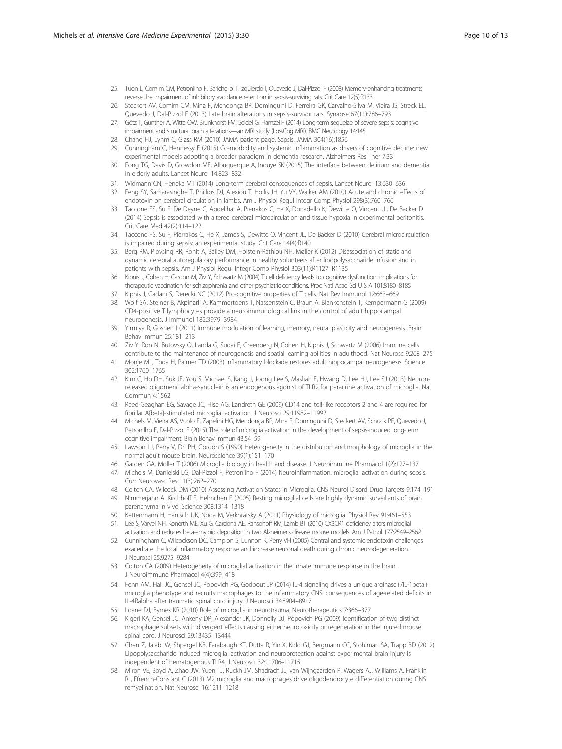- <span id="page-9-0"></span>25. Tuon L, Comim CM, Petronilho F, Barichello T, Izquierdo I, Quevedo J, Dal-Pizzol F (2008) Memory-enhancing treatments reverse the impairment of inhibitory avoidance retention in sepsis-surviving rats. Crit Care 12(5):R133
- 26. Steckert AV, Comim CM, Mina F, Mendonça BP, Dominguini D, Ferreira GK, Carvalho-Silva M, Vieira JS, Streck EL, Quevedo J, Dal-Pizzol F (2013) Late brain alterations in sepsis-survivor rats. Synapse 67(11):786–793
- 27. Götz T, Gunther A, Witte OW, Brunkhorst FM, Seidel G, Hamzei F (2014) Long-term sequelae of severe sepsis: cognitive impairment and structural brain alterations—an MRI study (LossCog MRI). BMC Neurology 14:145
- 28. Chang HJ, Lynm C, Glass RM (2010) JAMA patient page. Sepsis. JAMA 304(16):1856
- 29. Cunningham C, Hennessy E (2015) Co-morbidity and systemic inflammation as drivers of cognitive decline: new experimental models adopting a broader paradigm in dementia research. Alzheimers Res Ther 7:33
- 30. Fong TG, Davis D, Growdon ME, Albuquerque A, Inouye SK (2015) The interface between delirium and dementia in elderly adults. Lancet Neurol 14:823–832
- 31. Widmann CN, Heneka MT (2014) Long-term cerebral consequences of sepsis. Lancet Neurol 13:630–636
- 32. Feng SY, Samarasinghe T, Phillips DJ, Alexiou T, Hollis JH, Yu VY, Walker AM (2010) Acute and chronic effects of endotoxin on cerebral circulation in lambs. Am J Physiol Regul Integr Comp Physiol 298(3):760–766
- 33. Taccone FS, Su F, De Deyne C, Abdellhai A, Pierrakos C, He X, Donadello K, Dewitte O, Vincent JL, De Backer D (2014) Sepsis is associated with altered cerebral microcirculation and tissue hypoxia in experimental peritonitis. Crit Care Med 42(2):114–122
- 34. Taccone FS, Su F, Pierrakos C, He X, James S, Dewitte O, Vincent JL, De Backer D (2010) Cerebral microcirculation is impaired during sepsis: an experimental study. Crit Care 14(4):R140
- 35. Berg RM, Plovsing RR, Ronit A, Bailey DM, Holstein-Rathlou NH, Møller K (2012) Disassociation of static and dynamic cerebral autoregulatory performance in healthy volunteers after lipopolysaccharide infusion and in patients with sepsis. Am J Physiol Regul Integr Comp Physiol 303(11):R1127–R1135
- 36. Kipnis J, Cohen H, Cardon M, Ziv Y, Schwartz M (2004) T cell deficiency leads to cognitive dysfunction: implications for therapeutic vaccination for schizophrenia and other psychiatric conditions. Proc Natl Acad Sci U S A 101:8180–8185
- 37. Kipnis J, Gadani S, Derecki NC (2012) Pro-cognitive properties of T cells. Nat Rev Immunol 12:663–669
- 38. Wolf SA, Steiner B, Akpinarli A, Kammertoens T, Nassenstein C, Braun A, Blankenstein T, Kempermann G (2009) CD4-positive T lymphocytes provide a neuroimmunological link in the control of adult hippocampal neurogenesis. J Immunol 182:3979–3984
- 39. Yirmiya R, Goshen I (2011) Immune modulation of learning, memory, neural plasticity and neurogenesis. Brain Behav Immun 25:181–213
- 40. Ziv Y, Ron N, Butovsky O, Landa G, Sudai E, Greenberg N, Cohen H, Kipnis J, Schwartz M (2006) Immune cells contribute to the maintenance of neurogenesis and spatial learning abilities in adulthood. Nat Neurosc 9:268–275
- 41. Monje ML, Toda H, Palmer TD (2003) Inflammatory blockade restores adult hippocampal neurogenesis. Science 302:1760–1765
- 42. Kim C, Ho DH, Suk JE, You S, Michael S, Kang J, Joong Lee S, Masliah E, Hwang D, Lee HJ, Lee SJ (2013) Neuronreleased oligomeric alpha-synuclein is an endogenous agonist of TLR2 for paracrine activation of microglia. Nat Commun 4:1562
- 43. Reed-Geaghan EG, Savage JC, Hise AG, Landreth GE (2009) CD14 and toll-like receptors 2 and 4 are required for fibrillar A{beta}-stimulated microglial activation. J Neurosci 29:11982–11992
- 44. Michels M, Vieira AS, Vuolo F, Zapelini HG, Mendonça BP, Mina F, Dominguini D, Steckert AV, Schuck PF, Quevedo J, Petronilho F, Dal-Pizzol F (2015) The role of microglia activation in the development of sepsis-induced long-term cognitive impairment. Brain Behav Immun 43:54–59
- 45. Lawson LJ, Perry V, Dri PH, Gordon S (1990) Heterogeneity in the distribution and morphology of microglia in the normal adult mouse brain. Neuroscience 39(1):151–170
- 46. Garden GA, Moller T (2006) Microglia biology in health and disease. J Neuroimmune Pharmacol 1(2):127–137
- 47. Michels M, Danielski LG, Dal-Pizzol F, Petronilho F (2014) Neuroinflammation: microglial activation during sepsis. Curr Neurovasc Res 11(3):262–270
- 48. Colton CA, Wilcock DM (2010) Assessing Activation States in Microglia. CNS Neurol Disord Drug Targets 9:174–191
- 49. Nimmerjahn A, Kirchhoff F, Helmchen F (2005) Resting microglial cells are highly dynamic surveillants of brain parenchyma in vivo. Science 308:1314–1318
- 50. Kettenmann H, Hanisch UK, Noda M, Verkhratsky A (2011) Physiology of microglia. Physiol Rev 91:461–553
- 51. Lee S, Varvel NH, Konerth ME, Xu G, Cardona AE, Ransohoff RM, Lamb BT (2010) CX3CR1 deficiency alters microglial activation and reduces beta-amyloid deposition in two Alzheimer's disease mouse models. Am J Pathol 177:2549–2562
- 52. Cunningham C, Wilcockson DC, Campion S, Lunnon K, Perry VH (2005) Central and systemic endotoxin challenges exacerbate the local inflammatory response and increase neuronal death during chronic neurodegeneration. J Neurosci 25:9275–9284
- 53. Colton CA (2009) Heterogeneity of microglial activation in the innate immune response in the brain. J Neuroimmune Pharmacol 4(4):399–418
- 54. Fenn AM, Hall JC, Gensel JC, Popovich PG, Godbout JP (2014) IL-4 signaling drives a unique arginase+/IL-1beta+ microglia phenotype and recruits macrophages to the inflammatory CNS: consequences of age-related deficits in IL-4Ralpha after traumatic spinal cord injury. J Neurosci 34:8904–8917
- 55. Loane DJ, Byrnes KR (2010) Role of microglia in neurotrauma. Neurotherapeutics 7:366–377
- 56. Kigerl KA, Gensel JC, Ankeny DP, Alexander JK, Donnelly DJ, Popovich PG (2009) Identification of two distinct macrophage subsets with divergent effects causing either neurotoxicity or regeneration in the injured mouse spinal cord. J Neurosci 29:13435–13444
- 57. Chen Z, Jalabi W, Shpargel KB, Farabaugh KT, Dutta R, Yin X, Kidd GJ, Bergmann CC, Stohlman SA, Trapp BD (2012) Lipopolysaccharide induced microglial activation and neuroprotection against experimental brain injury is independent of hematogenous TLR4. J Neurosci 32:11706–11715
- 58. Miron VE, Boyd A, Zhao JW, Yuen TJ, Ruckh JM, Shadrach JL, van Wijngaarden P, Wagers AJ, Williams A, Franklin RJ, Ffrench-Constant C (2013) M2 microglia and macrophages drive oligodendrocyte differentiation during CNS remyelination. Nat Neurosci 16:1211–1218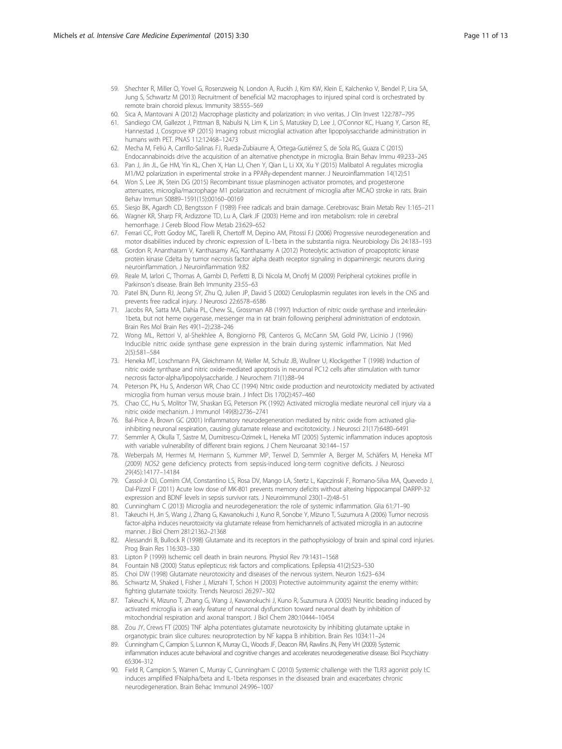- <span id="page-10-0"></span>59. Shechter R, Miller O, Yovel G, Rosenzweig N, London A, Ruckh J, Kim KW, Klein E, Kalchenko V, Bendel P, Lira SA, Jung S, Schwartz M (2013) Recruitment of beneficial M2 macrophages to injured spinal cord is orchestrated by remote brain choroid plexus. Immunity 38:555–569
- 60. Sica A, Mantovani A (2012) Macrophage plasticity and polarization: in vivo veritas. J Clin Invest 122:787–795
- 61. Sandiego CM, Gallezot J, Pittman B, Nabulsi N, Lim K, Lin S, Matuskey D, Lee J, O'Connor KC, Huang Y, Carson RE, Hannestad J, Cosgrove KP (2015) Imaging robust microglial activation after lipopolysaccharide administration in humans with PET. PNAS 112:12468–12473
- 62. Mecha M, Feliú A, Carrillo-Salinas FJ, Rueda-Zubiaurre A, Ortega-Gutiérrez S, de Sola RG, Guaza C (2015) Endocannabinoids drive the acquisition of an alternative phenotype in microglia. Brain Behav Immu 49:233–245
- 63. Pan J, Jin JL, Ge HM, Yin KL, Chen X, Han LJ, Chen Y, Qian L, Li XX, Xu Y (2015) Malibatol A regulates microglia M1/M2 polarization in experimental stroke in a PPARγ-dependent manner. J Neuroinflammation 14(12):51
- 64. Won S, Lee JK, Stein DG (2015) Recombinant tissue plasminogen activator promotes, and progesterone attenuates, microglia/macrophage M1 polarization and recruitment of microglia after MCAO stroke in rats. Brain Behav Immun S0889–1591(15):00160–00169
- 65. Siesjo BK, Agardh CD, Bengtsson F (1989) Free radicals and brain damage. Cerebrovasc Brain Metab Rev 1:165–211
- 66. Wagner KR, Sharp FR, Ardizzone TD, Lu A, Clark JF (2003) Heme and iron metabolism: role in cerebral hemorrhage. J Cereb Blood Flow Metab 23:629–652
- 67. Ferrari CC, Pott Godoy MC, Tarelli R, Chertoff M, Depino AM, Pitossi FJ (2006) Progressive neurodegeneration and motor disabilities induced by chronic expression of IL-1beta in the substantia nigra. Neurobiology Dis 24:183–193
- 68. Gordon R, Anantharam V, Kanthasamy AG, Kanthasamy A (2012) Proteolytic activation of proapoptotic kinase protein kinase Cdelta by tumor necrosis factor alpha death receptor signaling in dopaminergic neurons during neuroinflammation. J Neuroinflammation 9:82
- 69. Reale M, Iarlori C, Thomas A, Gambi D, Perfetti B, Di Nicola M, Onofrj M (2009) Peripheral cytokines profile in Parkinson's disease. Brain Beh Immunity 23:55–63
- 70. Patel BN, Dunn RJ, Jeong SY, Zhu Q, Julien JP, David S (2002) Ceruloplasmin regulates iron levels in the CNS and prevents free radical injury. J Neurosci 22:6578–6586
- 71. Jacobs RA, Satta MA, Dahia PL, Chew SL, Grossman AB (1997) Induction of nitric oxide synthase and interleukin-1beta, but not heme oxygenase, messenger rna in rat brain following peripheral administration of endotoxin. Brain Res Mol Brain Res 49(1–2):238–246
- 72. Wong ML, Rettori V, al-Shekhlee A, Bongiorno PB, Canteros G, McCann SM, Gold PW, Licinio J (1996) Inducible nitric oxide synthase gene expression in the brain during systemic inflammation. Nat Med 2(5):581–584
- 73. Heneka MT, Loschmann PA, Gleichmann M, Weller M, Schulz JB, Wullner U, Klockgether T (1998) Induction of nitric oxide synthase and nitric oxide-mediated apoptosis in neuronal PC12 cells after stimulation with tumor necrosis factor-alpha/lipopolysaccharide. J Neurochem 71(1):88–94
- 74. Peterson PK, Hu S, Anderson WR, Chao CC (1994) Nitric oxide production and neurotoxicity mediated by activated microglia from human versus mouse brain. J Infect Dis 170(2):457–460
- 75. Chao CC, Hu S, Molitor TW, Shaskan EG, Peterson PK (1992) Activated microglia mediate neuronal cell injury via a nitric oxide mechanism. J Immunol 149(8):2736–2741
- 76. Bal-Price A, Brown GC (2001) Inflammatory neurodegeneration mediated by nitric oxide from activated gliainhibiting neuronal respiration, causing glutamate release and excitotoxicity. J Neurosci 21(17):6480–6491
- 77. Semmler A, Okulla T, Sastre M, Dumitrescu-Ozimek L, Heneka MT (2005) Systemic inflammation induces apoptosis with variable vulnerability of different brain regions. J Chem Neuroanat 30:144–157
- 78. Weberpals M, Hermes M, Hermann S, Kummer MP, Terwel D, Semmler A, Berger M, Schäfers M, Heneka MT (2009) NOS2 gene deficiency protects from sepsis-induced long-term cognitive deficits. J Neurosci 29(45):14177–14184
- 79. Cassol-Jr OJ, Comim CM, Constantino LS, Rosa DV, Mango LA, Stertz L, Kapczinski F, Romano-Silva MA, Quevedo J, Dal-Pizzol F (2011) Acute low dose of MK-801 prevents memory deficits without altering hippocampal DARPP-32 expression and BDNF levels in sepsis survivor rats. J Neuroimmunol 230(1–2):48–51
- 80. Cunningham C (2013) Microglia and neurodegeneration: the role of systemic inflammation. Glia 61:71–90
- 81. Takeuchi H, Jin S, Wang J, Zhang G, Kawanokuchi J, Kuno R, Sonobe Y, Mizuno T, Suzumura A (2006) Tumor necrosis factor-alpha induces neurotoxicity via glutamate release from hemichannels of activated microglia in an autocrine manner. J Biol Chem 281:21362–21368
- 82. Alessandri B, Bullock R (1998) Glutamate and its receptors in the pathophysiology of brain and spinal cord injuries. Prog Brain Res 116:303–330
- 83. Lipton P (1999) Ischemic cell death in brain neurons. Physiol Rev 79:1431–1568
- 84. Fountain NB (2000) Status epilepticus: risk factors and complications. Epilepsia 41(2):S23–S30
- 85. Choi DW (1998) Glutamate neurotoxicity and diseases of the nervous system. Neuron 1:623–634
- 86. Schwartz M, Shaked I, Fisher J, Mizrahi T, Schori H (2003) Protective autoimmunity against the enemy within: fighting glutamate toxicity. Trends Neurosci 26:297–302
- 87. Takeuchi K, Mizuno T, Zhang G, Wang J, Kawanokuchi J, Kuno R, Suzumura A (2005) Neuritic beading induced by activated microglia is an early feature of neuronal dysfunction toward neuronal death by inhibition of mitochondrial respiration and axonal transport. J Biol Chem 280:10444–10454
- 88. Zou JY, Crews FT (2005) TNF alpha potentiates glutamate neurotoxicity by inhibiting glutamate uptake in organotypic brain slice cultures: neuroprotection by NF kappa B inhibition. Brain Res 1034:11–24
- 89. Cunningham C, Campion S, Lunnon K, Murray CL, Woods JF, Deacon RM, Rawlins JN, Perry VH (2009) Systemic inflammation induces acute behavioral and cognitive changes and accelerates neurodegenerative disease. Biol Pscychiatry 65:304–312
- 90. Field R, Campion S, Warren C, Murray C, Cunningham C (2010) Systemic challenge with the TLR3 agonist poly I:C induces amplified IFNalpha/beta and IL-1beta responses in the diseased brain and exacerbates chronic neurodegeneration. Brain Behac Immunol 24:996–1007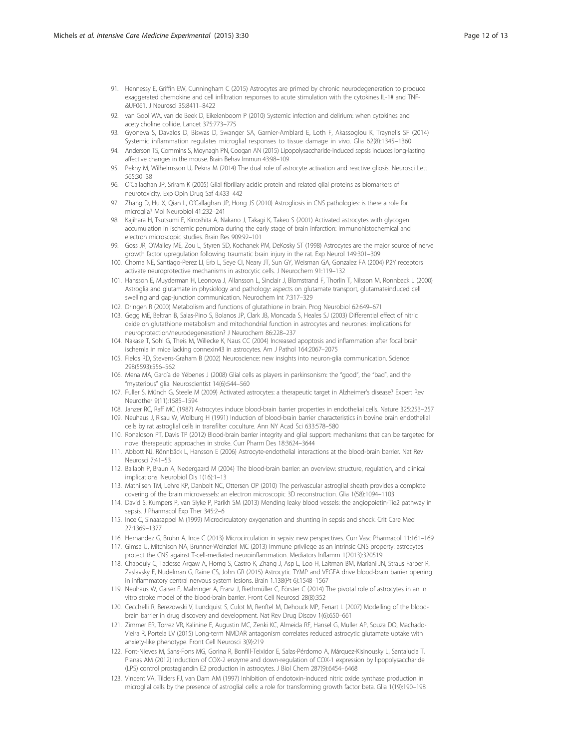- <span id="page-11-0"></span>91. Hennessy E, Griffin EW, Cunningham C (2015) Astrocytes are primed by chronic neurodegeneration to produce exaggerated chemokine and cell infiltration responses to acute stimulation with the cytokines IL-1# and TNF- &UF061. J Neurosci 35:8411–8422
- 92. van Gool WA, van de Beek D, Eikelenboom P (2010) Systemic infection and delirium: when cytokines and acetylcholine collide. Lancet 375:773–775
- 93. Gyoneva S, Davalos D, Biswas D, Swanger SA, Garnier-Amblard E, Loth F, Akassoglou K, Traynelis SF (2014) Systemic inflammation regulates microglial responses to tissue damage in vivo. Glia 62(8):1345–1360
- 94. Anderson TS, Commins S, Moynagh PN, Coogan AN (2015) Lipopolysaccharide-induced sepsis induces long-lasting affective changes in the mouse. Brain Behav Immun 43:98–109
- 95. Pekny M, Wilhelmsson U, Pekna M (2014) The dual role of astrocyte activation and reactive gliosis. Neurosci Lett 565:30–38
- 96. O'Callaghan JP, Sriram K (2005) Glial fibrillary acidic protein and related glial proteins as biomarkers of neurotoxicity. Exp Opin Drug Saf 4:433–442
- 97. Zhang D, Hu X, Qian L, O'Callaghan JP, Hong JS (2010) Astrogliosis in CNS pathologies: is there a role for microglia? Mol Neurobiol 41:232-241
- 98. Kajihara H, Tsutsumi E, Kinoshita A, Nakano J, Takagi K, Takeo S (2001) Activated astrocytes with glycogen accumulation in ischemic penumbra during the early stage of brain infarction: immunohistochemical and electron microscopic studies. Brain Res 909:92–101
- 99. Goss JR, O'Malley ME, Zou L, Styren SD, Kochanek PM, DeKosky ST (1998) Astrocytes are the major source of nerve growth factor upregulation following traumatic brain injury in the rat. Exp Neurol 149:301–309
- 100. Chorna NE, Santiago-Perez LI, Erb L, Seye CI, Neary JT, Sun GY, Weisman GA, Gonzalez FA (2004) P2Y receptors activate neuroprotective mechanisms in astrocytic cells. J Neurochem 91:119–132
- 101. Hansson E, Muyderman H, Leonova J, Allansson L, Sinclair J, Blomstrand F, Thorlin T, Nilsson M, Ronnback L (2000) Astroglia and glutamate in physiology and pathology: aspects on glutamate transport, glutamateinduced cell swelling and gap-junction communication. Neurochem Int 7:317–329
- 102. Dringen R (2000) Metabolism and functions of glutathione in brain. Prog Neurobiol 62:649–671
- 103. Gegg ME, Beltran B, Salas-Pino S, Bolanos JP, Clark JB, Moncada S, Heales SJ (2003) Differential effect of nitric oxide on glutathione metabolism and mitochondrial function in astrocytes and neurones: implications for neuroprotection/neurodegeneration? J Neurochem 86:228–237
- 104. Nakase T, Sohl G, Theis M, Willecke K, Naus CC (2004) Increased apoptosis and inflammation after focal brain ischemia in mice lacking connexin43 in astrocytes. Am J Pathol 164:2067–2075
- 105. Fields RD, Stevens-Graham B (2002) Neuroscience: new insights into neuron-glia communication. Science 298(5593):556–562
- 106. Mena MA, García de Yébenes J (2008) Glial cells as players in parkinsonism: the "good", the "bad", and the "mysterious" glia. Neuroscientist 14(6):544–560
- 107. Fuller S, Münch G, Steele M (2009) Activated astrocytes: a therapeutic target in Alzheimer's disease? Expert Rev Neurother 9(11):1585–1594
- 108. Janzer RC, Raff MC (1987) Astrocytes induce blood-brain barrier properties in endothelial cells. Nature 325:253–257
- 109. Neuhaus J, Risau W, Wolburg H (1991) Induction of blood-brain barrier characteristics in bovine brain endothelial cells by rat astroglial cells in transfilter coculture. Ann NY Acad Sci 633:578–580
- 110. Ronaldson PT, Davis TP (2012) Blood-brain barrier integrity and glial support: mechanisms that can be targeted for novel therapeutic approaches in stroke. Curr Pharm Des 18:3624–3644
- 111. Abbott NJ, Rönnbäck L, Hansson E (2006) Astrocyte-endothelial interactions at the blood-brain barrier. Nat Rev Neurosci 7:41–53
- 112. Ballabh P, Braun A, Nedergaard M (2004) The blood-brain barrier: an overview: structure, regulation, and clinical implications. Neurobiol Dis 1(16):1–13
- 113. Mathiisen TM, Lehre KP, Danbolt NC, Ottersen OP (2010) The perivascular astroglial sheath provides a complete covering of the brain microvessels: an electron microscopic 3D reconstruction. Glia 1(58):1094–1103
- 114. David S, Kumpers P, van Slyke P, Parikh SM (2013) Mending leaky blood vessels: the angiopoietin-Tie2 pathway in sepsis. J Pharmacol Exp Ther 345:2–6
- 115. Ince C, Sinaasappel M (1999) Microcirculatory oxygenation and shunting in sepsis and shock. Crit Care Med 27:1369–1377
- 116. Hernandez G, Bruhn A, Ince C (2013) Microcirculation in sepsis: new perspectives. Curr Vasc Pharmacol 11:161–169
- 117. Gimsa U, Mitchison NA, Brunner-Weinzierl MC (2013) Immune privilege as an intrinsic CNS property: astrocytes protect the CNS against T-cell-mediated neuroinflammation. Mediators Inflamm 1(2013):320519
- 118. Chapouly C, Tadesse Argaw A, Horng S, Castro K, Zhang J, Asp L, Loo H, Laitman BM, Mariani JN, Straus Farber R, Zaslavsky E, Nudelman G, Raine CS, John GR (2015) Astrocytic TYMP and VEGFA drive blood-brain barrier opening in inflammatory central nervous system lesions. Brain 1.138(Pt 6):1548–1567
- 119. Neuhaus W, Gaiser F, Mahringer A, Franz J, Riethmüller C, Förster C (2014) The pivotal role of astrocytes in an in vitro stroke model of the blood-brain barrier. Front Cell Neurosci 28(8):352
- 120. Cecchelli R, Berezowski V, Lundquist S, Culot M, Renftel M, Dehouck MP, Fenart L (2007) Modelling of the bloodbrain barrier in drug discovery and development. Nat Rev Drug Discov 1(6):650–661
- 121. Zimmer ER, Torrez VR, Kalinine E, Augustin MC, Zenki KC, Almeida RF, Hansel G, Muller AP, Souza DO, Machado-Vieira R, Portela LV (2015) Long-term NMDAR antagonism correlates reduced astrocytic glutamate uptake with anxiety-like phenotype. Front Cell Neurosci 3(9):219
- 122. Font-Nieves M, Sans-Fons MG, Gorina R, Bonfill-Teixidor E, Salas-Pérdomo A, Márquez-Kisinousky L, Santalucia T, Planas AM (2012) Induction of COX-2 enzyme and down-regulation of COX-1 expression by lipopolysaccharide (LPS) control prostaglandin E2 production in astrocytes. J Biol Chem 287(9):6454–6468
- 123. Vincent VA, Tilders FJ, van Dam AM (1997) Inhibition of endotoxin-induced nitric oxide synthase production in microglial cells by the presence of astroglial cells: a role for transforming growth factor beta. Glia 1(19):190–198